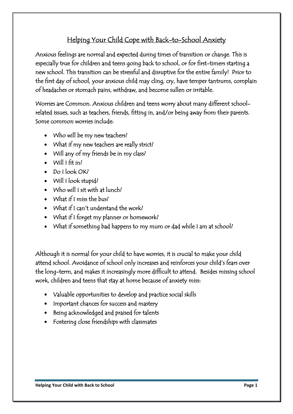## Helping Your Child Cope with Back-to-School Anxiety

Anxious feelings are normal and expected during times of transition or change. This is especially true for children and teens going back to school, or for first-timers starting a new school. This transition can be stressful and disruptive for the entire family! Prior to the first day of school, your anxious child may cling, cry, have temper tantrums, complain of headaches or stomach pains, withdraw, and become sullen or irritable.

Worries are Common. Anxious children and teens worry about many different schoolrelated issues, such as teachers, friends, fitting in, and/or being away from their parents. Some common worries include:

- Who will be my new teachers?
- What if my new teachers are really strict?
- Will any of my friends be in my class?
- $\bullet$  Will I fit in?
- Do I look OK?
- Will I look stupid?
- Who will I sit with at lunch?
- What if I miss the bus?
- What if I can't understand the work?
- What if I forget my planner or homework?
- What if something bad happens to my mum or dad while I am at school?

Although it is normal for your child to have worries, it is crucial to make your child attend school. Avoidance of school only increases and reinforces your child's fears over the long-term, and makes it increasingly more difficult to attend. Besides missing school work, children and teens that stay at home because of anxiety miss:

- Valuable opportunities to develop and practice social skills
- Important chances for success and mastery
- Being acknowledged and praised for talents
- Fostering close friendships with classmates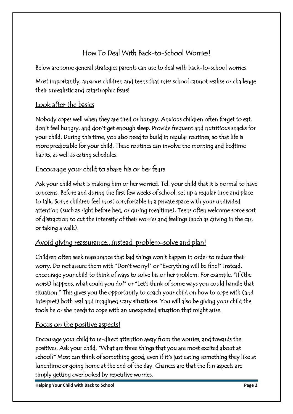## How To Deal With Back-to-School Worries!

Below are some general strategies parents can use to deal with back-to-school worries.

Most importantly, anxious children and teens that miss school cannot realise or challenge their unrealistic and catastrophic fears!

### Look after the basics

Nobody copes well when they are tired or hungry. Anxious children often forget to eat, don't feel hungry, and don't get enough sleep. Provide frequent and nutritious snacks for your child. During this time, you also need to build in regular routines, so that life is more predictable for your child. These routines can involve the morning and bedtime habits, as well as eating schedules.

# Encourage your child to share his or her fears

Ask your child what is making him or her worried. Tell your child that it is normal to have concerns. Before and during the first few weeks of school, set up a regular time and place to talk. Some children feel most comfortable in a private space with your undivided attention (such as right before bed, or during mealtime). Teens often welcome some sort of distraction to cut the intensity of their worries and feelings (such as driving in the car, or taking a walk).

#### Avoid giving reassurance...instead, problem-solve and plan!

Children often seek reassurance that bad things won't happen in order to reduce their worry. Do not assure them with "Don't worry!" or "Everything will be fine!" Instead, encourage your child to think of ways to solve his or her problem. For example, "If (the worst) happens, what could you do?" or "Let's think of some ways you could handle that situation." This gives you the opportunity to coach your child on how to cope with (and interpret) both real and imagined scary situations. You will also be giving your child the tools he or she needs to cope with an unexpected situation that might arise.

#### Focus on the positive aspects!

Encourage your child to re-direct attention away from the worries, and towards the positives. Ask your child, "What are three things that you are most excited about at school?" Most can think of something good, even if it's just eating something they like at lunchtime or going home at the end of the day. Chances are that the fun aspects are simply getting overlooked by repetitive worries.

**Helping Your Child with Back to School Page 2**